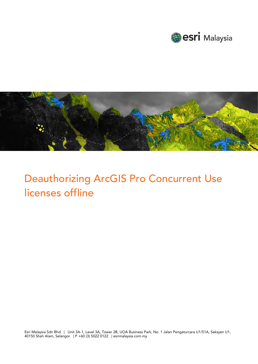



# Deauthorizing ArcGIS Pro Concurrent Use licenses offline

Esri Malaysia Sdn Bhd | Unit 3A-1, Level 3A, Tower 2B, UOA Business Park, No. 1 Jalan Pengaturcara U1/51A, Seksyen U1, 40150 Shah Alam, Selangor | P +60 (3) 5022 0122 | esrimalaysia.com.my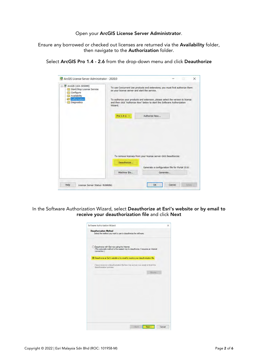### Open your ArcGIS License Server Administrator.

Ensure any borrowed or checked out licenses are returned via the Availability folder, then navigate to the Authorization folder.

Select ArcGIS Pro 1.4 - 2.6 from the drop-down menu and click Deauthorize

| ArcGIS (LEA-305099)<br>Start/Stop License Service<br>Configure<br>Availability<br>Authorization<br>Diagnostics | on your license server and start the service.<br>Wizard. | To use Concurrent Use products and extensions, you must first authorize them<br>To authorize your products and extension, please select the version to license<br>and then click 'Authorize Now' below to start the Software Authorization |  |  |
|----------------------------------------------------------------------------------------------------------------|----------------------------------------------------------|--------------------------------------------------------------------------------------------------------------------------------------------------------------------------------------------------------------------------------------------|--|--|
|                                                                                                                | Pro $1.4 - 2.$ $\sim$                                    | Authorize Now                                                                                                                                                                                                                              |  |  |
|                                                                                                                |                                                          |                                                                                                                                                                                                                                            |  |  |
|                                                                                                                |                                                          |                                                                                                                                                                                                                                            |  |  |
|                                                                                                                |                                                          | To remove licenses from your license server click Deauthorize:                                                                                                                                                                             |  |  |
|                                                                                                                | Deauthorize                                              | Generate a configuration file for Portal 10.6:                                                                                                                                                                                             |  |  |

In the Software Authorization Wizard, select Deauthorize at Esri's website or by email to receive your deauthorization file and click Next

| Software Authorization Wizard                                                                                                                        | × |
|------------------------------------------------------------------------------------------------------------------------------------------------------|---|
| <b>Deauthorization Method</b><br>Select the method you want to use to deauthorize the software.                                                      |   |
| ○ Deauthorize with Esri now using the Internet.<br>(This automatic method is the easiest way to deauthorize. It requires an Internet<br>connection.) |   |
| ◉ Deauthorize at Esri's website or by email to receive your deauthorization file.                                                                    |   |
| I have received a deauthorization file from Esri and am now ready to finish the<br>deauthorization process.                                          |   |
| <b>Thrane</b>                                                                                                                                        |   |
|                                                                                                                                                      |   |
|                                                                                                                                                      |   |
|                                                                                                                                                      |   |
|                                                                                                                                                      |   |
|                                                                                                                                                      |   |
|                                                                                                                                                      |   |
|                                                                                                                                                      |   |
|                                                                                                                                                      |   |
|                                                                                                                                                      |   |
|                                                                                                                                                      |   |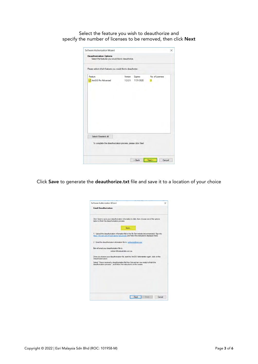Select the feature you wish to deauthorize and specify the number of licenses to be removed, then click **Next** 

| Please select which features you would like to deauthorize: |             |                      |                 |
|-------------------------------------------------------------|-------------|----------------------|-----------------|
| Feature                                                     | Version     | Expires<br>7/31/2020 | No. of Licenses |
| ArcGIS Pro Advanced                                         | $1.2 - 2.5$ |                      | 2               |
|                                                             |             |                      |                 |
|                                                             |             |                      |                 |
|                                                             |             |                      |                 |
|                                                             |             |                      |                 |
|                                                             |             |                      |                 |
| Select/Deselect All                                         |             |                      |                 |
| To complete the deauthorization process, please click Next. |             |                      |                 |

Click Save to generate the deauthorize.txt file and save it to a location of your choice

| Software Authorization Wizard                                                                                                                                                                        | × |
|------------------------------------------------------------------------------------------------------------------------------------------------------------------------------------------------------|---|
| <b>Email Deauthorization</b>                                                                                                                                                                         |   |
| Click Save to save your deauthorization information to disk, then choose one of the options<br>below to finish the deauthorization process.                                                          |   |
| Save<br>1. Upload the deauthorization information file to the My Esri website (recommended): Sign into<br>https://my.esri.com/#/activations/secure-site and follow the instructions displayed there. |   |
| 2. Email the deauthorization information file to: authorize@esri.com                                                                                                                                 |   |
| Esri will email your deauthorization file to:<br>eobrien@esnaustralia.com au                                                                                                                         |   |
| Once you receive your deauthorization file, start the ArcGIS Administrator again, click on the<br>Deauthorize button.                                                                                |   |
| Select "I have received a deauthorization file from Esri and am now ready to finish the<br>deauthorization process.", and follow the instructions on the screen.                                     |   |
|                                                                                                                                                                                                      |   |
|                                                                                                                                                                                                      |   |
|                                                                                                                                                                                                      |   |
|                                                                                                                                                                                                      |   |
| < Back<br>Finsih <sup>1</sup><br>Cancel                                                                                                                                                              |   |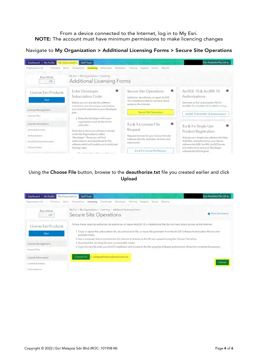From a device connected to the Internet, log in to My Esri. NOTE: The account must have minimum permissions to make licencing changes

## Navigate to My Organization > Additional Licensing Forms > Secure Site Operations



# Using the Choose File button, browse to the deauthorize.txt file you created earlier and click Upload

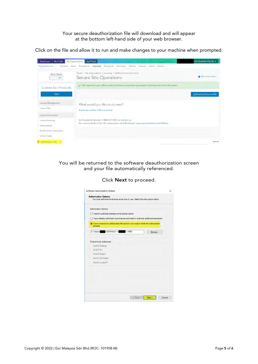## Your secure deauthorization file will download and will appear at the bottom left-hand side of your web browser.

Click on the file and allow it to run and make changes to your machine when prompted.

| My Profile<br>Dashboard                              | <b>Staff Tools</b><br>My Organizations                                                                 | Esri Australia Pty Ltd +       |
|------------------------------------------------------|--------------------------------------------------------------------------------------------------------|--------------------------------|
| <b>Organization List</b><br>Overview<br><b>Users</b> | Licensing<br>Downloads<br>Transactions<br>Developer<br>Events<br>Reports<br>Training<br>Support        |                                |
| <b>Basic Mode</b><br>Off                             | My Esri / My Organizations / Licensing / Additional Licensing Forms<br>Secure Site Operations          | More Information               |
| License Esri Products                                | The request for your offline machine has been successfully processed. Download the license file below, |                                |
| Start                                                |                                                                                                        | <b>Q</b> Download License File |
| License Management                                   | What would you like to do next?                                                                        |                                |
| License Files                                        | Authorize another offline machine                                                                      |                                |
| License Information                                  |                                                                                                        |                                |
| License Summary                                      | Esri Customer Service: 1-888-377-4575 or contact us.                                                   |                                |
| Authorizations                                       | For users outside of the US, contact your local distributor: www.esri.com/about-esri/offices           |                                |
| ArcGIS Online Information                            |                                                                                                        |                                |
| <b>Unlock Codes</b>                                  |                                                                                                        |                                |
| deauthonzation ( __ resps<br>$\sim$                  |                                                                                                        | Show all                       |

You will be returned to the software deauthorization screen and your file automatically referenced.

| <b>Authorization Options</b><br>You must authorize the license server prior to use. Select from the options below. |        |  |
|--------------------------------------------------------------------------------------------------------------------|--------|--|
| <b>Authorization Options</b>                                                                                       |        |  |
| O I need to authorize licenses on my license server.                                                               |        |  |
| () I have already authorized core licenses and need to authorize additional extensions.                            |        |  |
| (a) I have received an authorization file and am now ready to finish the authorization<br>process.                 |        |  |
| C:\Users\f \DOWNLO~1\ ~1.RES                                                                                       | Browse |  |
| Product to be Authorized                                                                                           |        |  |
| ArcGIS Desktop                                                                                                     |        |  |
| ArcGIS Pro                                                                                                         |        |  |
| ArcGIS Engine                                                                                                      |        |  |
| <b>ArcGIS City Engine</b>                                                                                          |        |  |
| ArcGIS LocateXT                                                                                                    |        |  |
|                                                                                                                    |        |  |

Click Next to proceed.